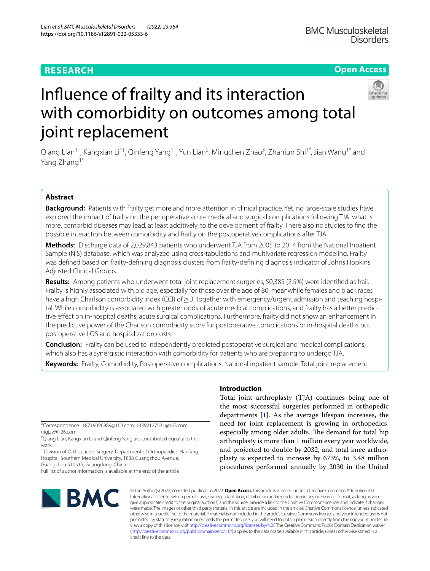# **RESEARCH**

# **Open Access**



# Infuence of frailty and its interaction with comorbidity on outcomes among total joint replacement

Qiang Lian<sup>1†</sup>, Kangxian Li<sup>1†</sup>, Qinfeng Yang<sup>1†</sup>, Yun Lian<sup>2</sup>, Mingchen Zhao<sup>3</sup>, Zhanjun Shi<sup>1\*</sup>, Jian Wang<sup>1\*</sup> and Yang Zhang<sup>1\*</sup>

# **Abstract**

**Background:** Patients with frailty get more and more attention in clinical practice. Yet, no large-scale studies have explored the impact of frailty on the perioperative acute medical and surgical complications following TJA. what is more, comorbid diseases may lead, at least additively, to the development of frailty. There also no studies to fnd the possible interaction between comorbidity and frailty on the postoperative complications after TJA.

**Methods:** Discharge data of 2,029,843 patients who underwent TJA from 2005 to 2014 from the National Inpatient Sample (NIS) database, which was analyzed using cross-tabulations and multivariate regression modeling. Frailty was defned based on frailty-defning diagnosis clusters from frailty-defning diagnosis indicator of Johns Hopkins Adjusted Clinical Groups.

**Results:** Among patients who underwent total joint replacement surgeries, 50,385 (2.5%) were identifed as frail. Frailty is highly associated with old age, especially for those over the age of 80, meanwhile females and black races have a high Charlson comorbidity index (CCI) of≥3, together with emergency/urgent admission and teaching hospital. While comorbidity is associated with greater odds of acute medical complications, and frailty has a better predictive efect on in-hospital deaths, acute surgical complications. Furthermore, frailty did not show an enhancement in the predictive power of the Charlson comorbidity score for postoperative complications or in-hospital deaths but postoperative LOS and hospitalization costs.

**Conclusion:** Frailty can be used to independently predicted postoperative surgical and medical complications, which also has a synergistic interaction with comorbidity for patients who are preparing to undergo TJA.

**Keywords:** Frailty, Comorbidity, Postoperative complications, National inpatient sample, Total joint replacement

\*Correspondence: 18719096889@163.com; 13392127531@163.com; nfgjzy@126.com

† Qiang Lian, Kangxian Li and Qinfeng Yang are contributed equally to this work.

<sup>1</sup> Division of Orthopaedic Surgery, Department of Orthopaedics, Nanfang Hospital, Southern Medical University, 1838 Guangzhou Avenue,

Guangzhou 510515, Guangdong, China Full list of author information is available at the end of the article

**Introduction**

Total joint arthroplasty (TJA) continues being one of the most successful surgeries performed in orthopedic departments [[1\]](#page-8-0). As the average lifespan increases, the need for joint replacement is growing in orthopedics, especially among older adults. The demand for total hip arthroplasty is more than 1 million every year worldwide, and projected to double by 2032, and total knee arthroplasty is expected to increase by 673%, to 3.48 million procedures performed annually by 2030 in the United



© The Author(s) 2022, corrected publication 2022. **Open Access** This article is licensed under a Creative Commons Attribution 4.0 International License, which permits use, sharing, adaptation, distribution and reproduction in any medium or format, as long as you give appropriate credit to the original author(s) and the source, provide a link to the Creative Commons licence, and indicate if changes were made. The images or other third party material in this article are included in the article's Creative Commons licence, unless indicated otherwise in a credit line to the material. If material is not included in the article's Creative Commons licence and your intended use is not permitted by statutory regulation or exceeds the permitted use, you will need to obtain permission directly from the copyright holder. To view a copy of this licence, visit [http://creativecommons.org/licenses/by/4.0/.](http://creativecommons.org/licenses/by/4.0/) The Creative Commons Public Domain Dedication waiver [\(http://creativecommons.org/publicdomain/zero/1.0/\)](http://creativecommons.org/publicdomain/zero/1.0/) applies to the data made available in this article, unless otherwise stated in a credit line to the data.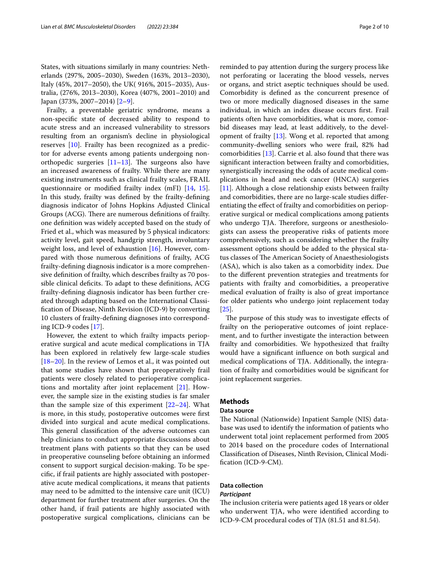States, with situations similarly in many countries: Netherlands (297%, 2005–2030), Sweden (163%, 2013–2030), Italy (45%, 2017–2050), the UK( 916%, 2015–2035), Australia, (276%, 2013–2030), Korea (407%, 2001–2010) and Japan (373%, 2007–2014) [[2–](#page-8-1)[9\]](#page-8-2).

Frailty, a preventable geriatric syndrome, means a non-specifc state of decreased ability to respond to acute stress and an increased vulnerability to stressors resulting from an organism's decline in physiological reserves [[10\]](#page-8-3). Frailty has been recognized as a predictor for adverse events among patients undergoing nonorthopedic surgeries  $[11-13]$  $[11-13]$ . The surgeons also have an increased awareness of frailty. While there are many existing instruments such as clinical frailty scales, FRAIL questionnaire or modifed frailty index (mFI) [[14](#page-8-6), [15](#page-8-7)]. In this study, frailty was defned by the frailty-defning diagnosis indicator of Johns Hopkins Adjusted Clinical Groups (ACG). There are numerous definitions of frailty. one defnition was widely accepted based on the study of Fried et al., which was measured by 5 physical indicators: activity level, gait speed, handgrip strength, involuntary weight loss, and level of exhaustion [[16](#page-9-0)]. However, compared with those numerous defnitions of frailty, ACG frailty-defning diagnosis indicator is a more comprehensive defnition of frailty, which describes frailty as 70 possible clinical deficits. To adapt to these definitions, ACG frailty-defning diagnosis indicator has been further created through adapting based on the International Classifcation of Disease, Ninth Revision (ICD-9) by converting 10 clusters of frailty-defning diagnoses into corresponding ICD-9 codes [[17\]](#page-9-1).

However, the extent to which frailty impacts perioperative surgical and acute medical complications in TJA has been explored in relatively few large-scale studies [[18–](#page-9-2)[20](#page-9-3)]. In the review of Lemos et al., it was pointed out that some studies have shown that preoperatively frail patients were closely related to perioperative complications and mortality after joint replacement [[21\]](#page-9-4). However, the sample size in the existing studies is far smaler than the sample size of this experiment  $[22-24]$  $[22-24]$  $[22-24]$ . What is more, in this study, postoperative outcomes were frst divided into surgical and acute medical complications. This general classification of the adverse outcomes can help clinicians to conduct appropriate discussions about treatment plans with patients so that they can be used in preoperative counseling before obtaining an informed consent to support surgical decision-making. To be specifc, if frail patients are highly associated with postoperative acute medical complications, it means that patients may need to be admitted to the intensive care unit (ICU) department for further treatment after surgeries. On the other hand, if frail patients are highly associated with postoperative surgical complications, clinicians can be reminded to pay attention during the surgery process like not perforating or lacerating the blood vessels, nerves or organs, and strict aseptic techniques should be used. Comorbidity is defned as the concurrent presence of two or more medically diagnosed diseases in the same individual, in which an index disease occurs frst. Frail patients often have comorbidities, what is more, comorbid diseases may lead, at least additively, to the development of frailty [[13\]](#page-8-5). Wong et al. reported that among community-dwelling seniors who were frail, 82% had comorbidities [[13\]](#page-8-5). Carrie et al. also found that there was signifcant interaction between frailty and comorbidities, synergistically increasing the odds of acute medical complications in head and neck cancer (HNCA) surgeries [[11\]](#page-8-4). Although a close relationship exists between frailty and comorbidities, there are no large-scale studies diferentiating the efect of frailty and comorbidities on perioperative surgical or medical complications among patients who undergo TJA. Therefore, surgeons or anesthesiologists can assess the preoperative risks of patients more comprehensively, such as considering whether the frailty assessment options should be added to the physical status classes of The American Society of Anaesthesiologists (ASA), which is also taken as a comorbidity index. Due to the diferent prevention strategies and treatments for patients with frailty and comorbidities, a preoperative medical evaluation of frailty is also of great importance for older patients who undergo joint replacement today [[25\]](#page-9-7).

The purpose of this study was to investigate effects of frailty on the perioperative outcomes of joint replacement, and to further investigate the interaction between frailty and comorbidities. We hypothesized that frailty would have a signifcant infuence on both surgical and medical complications of TJA. Additionally, the integration of frailty and comorbidities would be signifcant for joint replacement surgeries.

# **Methods**

#### **Data source**

The National (Nationwide) Inpatient Sample (NIS) database was used to identify the information of patients who underwent total joint replacement performed from 2005 to 2014 based on the procedure codes of International Classifcation of Diseases, Ninth Revision, Clinical Modifcation (ICD-9-CM).

# **Data collection**

#### *Participant*

The inclusion criteria were patients aged 18 years or older who underwent TJA, who were identifed according to ICD-9-CM procedural codes of TJA (81.51 and 81.54).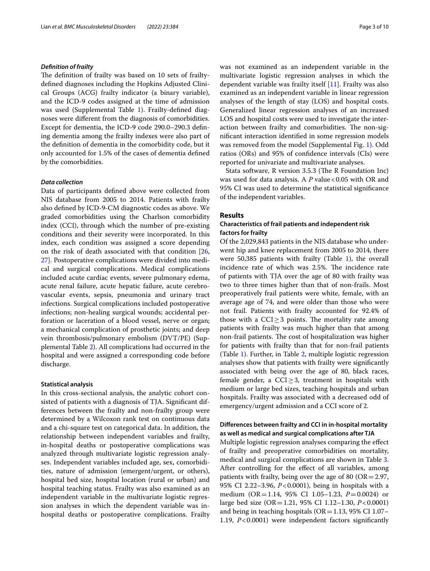#### *Defnition of frailty*

The definition of frailty was based on 10 sets of frailtydefned diagnoses including the Hopkins Adjusted Clinical Groups (ACG) frailty indicator (a binary variable), and the ICD-9 codes assigned at the time of admission was used (Supplemental Table [1](#page-8-8)). Frailty-defined diagnoses were diferent from the diagnosis of comorbidities. Except for dementia, the ICD-9 code 290.0–290.3 defning dementia among the frailty indexes were also part of the defnition of dementia in the comorbidity code, but it only accounted for 1.5% of the cases of dementia defned by the comorbidities.

#### *Data collection*

Data of participants defned above were collected from NIS database from 2005 to 2014. Patients with frailty also defned by ICD-9-CM diagnostic codes as above. We graded comorbidities using the Charlson comorbidity index (CCI), through which the number of pre-existing conditions and their severity were incorporated. In this index, each condition was assigned a score depending on the risk of death associated with that condition [\[26](#page-9-8), [27\]](#page-9-9). Postoperative complications were divided into medical and surgical complications. Medical complications included acute cardiac events, severe pulmonary edema, acute renal failure, acute hepatic failure, acute cerebrovascular events, sepsis, pneumonia and urinary tract infections. Surgical complications included postoperative infections; non-healing surgical wounds; accidental perforation or laceration of a blood vessel, nerve or organ; a mechanical complication of prosthetic joints; and deep vein thrombosis/pulmonary embolism (DVT/PE) (Supplemental Table [2](#page-8-8)). All complications had occurred in the hospital and were assigned a corresponding code before discharge.

### **Statistical analysis**

In this cross-sectional analysis, the analytic cohort consisted of patients with a diagnosis of TJA. Signifcant differences between the frailty and non-frailty group were determined by a Wilcoxon rank test on continuous data and a chi-square test on categorical data. In addition, the relationship between independent variables and frailty, in-hospital deaths or postoperative complications was analyzed through multivariate logistic regression analyses. Independent variables included age, sex, comorbidities, nature of admission (emergent/urgent, or others), hospital bed size, hospital location (rural or urban) and hospital teaching status. Frailty was also examined as an independent variable in the multivariate logistic regression analyses in which the dependent variable was inhospital deaths or postoperative complications. Frailty was not examined as an independent variable in the multivariate logistic regression analyses in which the dependent variable was frailty itself [\[11\]](#page-8-4). Frailty was also examined as an independent variable in linear regression analyses of the length of stay (LOS) and hospital costs. Generalized linear regression analyses of an increased LOS and hospital costs were used to investigate the interaction between frailty and comorbidities. The non-signifcant interaction identifed in some regression models was removed from the model (Supplemental Fig. [1](#page-8-9)). Odd ratios (ORs) and 95% of confdence intervals (CIs) were reported for univariate and multivariate analyses.

Stata software, R version 3.5.3 (The R Foundation Inc) was used for data analysis. A *P* value <0.05 with OR and 95% CI was used to determine the statistical signifcance of the independent variables.

### **Results**

# **Characteristics of frail patients and independent risk factors for frailty**

Of the 2,029,843 patients in the NIS database who underwent hip and knee replacement from 2005 to 2014, there were 50,385 patients with frailty (Table [1\)](#page-4-0), the overall incidence rate of which was 2.5%. The incidence rate of patients with TJA over the age of 80 with frailty was two to three times higher than that of non-frails. Most preoperatively frail patients were white, female, with an average age of 74, and were older than those who were not frail. Patients with frailty accounted for 92.4% of those with a  $CCI \geq 3$  points. The mortality rate among patients with frailty was much higher than that among non-frail patients. The cost of hospitalization was higher for patients with frailty than that for non-frail patients (Table [1](#page-4-0)). Further, in Table [2](#page-5-0), multiple logistic regression analyses show that patients with frailty were signifcantly associated with being over the age of 80, black races, female gender, a CCI $\geq$ 3, treatment in hospitals with medium or large bed sizes, teaching hospitals and urban hospitals. Frailty was associated with a decreased odd of emergency/urgent admission and a CCI score of 2.

# **Diferences between frailty and CCI in in‑hospital mortality as well as medical and surgical complications after TJA**

Multiple logistic regression analyses comparing the efect of frailty and preoperative comorbidities on mortality, medical and surgical complications are shown in Table [3](#page-5-1). After controlling for the efect of all variables, among patients with frailty, being over the age of 80 ( $OR = 2.97$ , 95% CI 2.22–3.96, *P*<0.0001), being in hospitals with a medium (OR=1.14, 95% CI 1.05–1.23, *P*=0.0024) or large bed size (OR=1.21, 95% CI 1.12–1.30, *P*<0.0001) and being in teaching hospitals ( $OR = 1.13$ , 95% CI 1.07– 1.19, *P*<0.0001) were independent factors signifcantly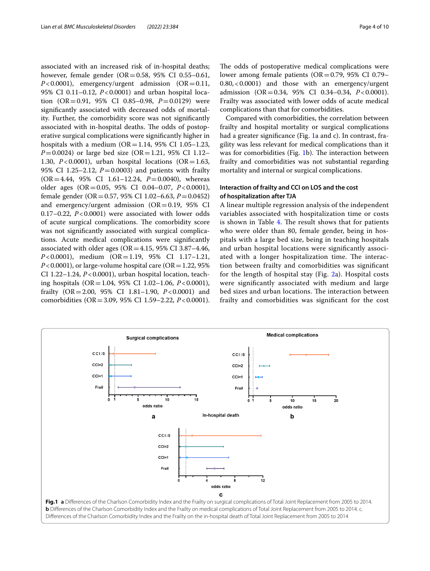associated with an increased risk of in-hospital deaths; however, female gender (OR=0.58, 95% CI 0.55–0.61,  $P < 0.0001$ ), emergency/urgent admission (OR=0.11, 95% CI 0.11–0.12, *P*<0.0001) and urban hospital location (OR=0.91, 95% CI 0.85–0.98, *P*=0.0129) were signifcantly associated with decreased odds of mortality. Further, the comorbidity score was not signifcantly associated with in-hospital deaths. The odds of postoperative surgical complications were signifcantly higher in hospitals with a medium ( $OR = 1.14$ , 95% CI 1.05–1.23, *P*=0.0024) or large bed size (OR=1.21, 95% CI 1.12– 1.30,  $P < 0.0001$ ), urban hospital locations (OR = 1.63, 95% CI 1.25–2.12, *P*=0.0003) and patients with frailty (OR=4.44, 95% CI 1.61–12.24, *P*=0.0040), whereas older ages (OR=0.05, 95% CI 0.04–0.07, *P*<0.0001), female gender (OR=0.57, 95% CI 1.02–6.63, *P*=0.0452) and emergency/urgent admission  $(OR=0.19, 95\% \text{ CI})$ 0.17–0.22, *P*<0.0001) were associated with lower odds of acute surgical complications. The comorbidity score was not signifcantly associated with surgical complications. Acute medical complications were signifcantly associated with older ages ( $OR = 4.15$ , 95% CI 3.87–4.46, *P*<0.0001), medium (OR=1.19, 95% CI 1.17-1.21,  $P < 0.0001$ ), or large-volume hospital care (OR = 1.22, 95%) CI 1.22–1.24, *P*<0.0001), urban hospital location, teaching hospitals (OR=1.04, 95% CI 1.02–1.06, *P*<0.0001), frailty (OR=2.00, 95% CI 1.81–1.90, *P*<0.0001) and comorbidities (OR=3.09, 95% CI 1.59–2.22, *P*<0.0001).

The odds of postoperative medical complications were lower among female patients ( $OR = 0.79$ , 95% CI 0.79– 0.80,<0.0001) and those with an emergency/urgent admission (OR=0.34, 95% CI 0.34–0.34, *P*<0.0001). Frailty was associated with lower odds of acute medical complications than that for comorbidities.

Compared with comorbidities, the correlation between frailty and hospital mortality or surgical complications had a greater significance (Fig. [1a](#page-3-0) and c). In contrast, fragility was less relevant for medical complications than it was for comorbidities (Fig. [1b](#page-3-0)). The interaction between frailty and comorbidities was not substantial regarding mortality and internal or surgical complications.

# **Interaction of frailty and CCI on LOS and the cost of hospitalization after TJA**

A linear multiple regression analysis of the independent variables associated with hospitalization time or costs is shown in Table  $4$ . The result shows that for patients who were older than 80, female gender, being in hospitals with a large bed size, being in teaching hospitals and urban hospital locations were signifcantly associated with a longer hospitalization time. The interaction between frailty and comorbidities was signifcant for the length of hospital stay (Fig. [2](#page-7-0)a). Hospital costs were signifcantly associated with medium and large bed sizes and urban locations. The interaction between frailty and comorbidities was signifcant for the cost

<span id="page-3-0"></span>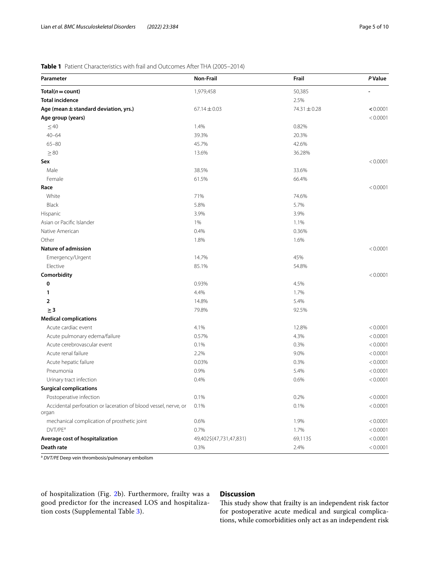# <span id="page-4-0"></span>**Table 1** Patient Characteristics with frail and Outcomes After THA (2005–2014)

| Parameter                                                                | Non-Frail               | Frail        | <b>P</b> Value |
|--------------------------------------------------------------------------|-------------------------|--------------|----------------|
| $Total(n = count)$                                                       | 1,979,458               | 50,385       |                |
| <b>Total incidence</b>                                                   |                         | 2.5%         |                |
| Age (mean $\pm$ standard deviation, yrs.)                                | $67.14 \pm 0.03$        | 74.31 ± 0.28 | < 0.0001       |
| Age group (years)                                                        |                         |              | < 0.0001       |
| $\leq 40$                                                                | 1.4%                    | 0.82%        |                |
| $40 - 64$                                                                | 39.3%                   | 20.3%        |                |
| $65 - 80$                                                                | 45.7%                   | 42.6%        |                |
| $\geq 80$                                                                | 13.6%                   | 36.28%       |                |
| Sex                                                                      |                         |              | < 0.0001       |
| Male                                                                     | 38.5%                   | 33.6%        |                |
| Female                                                                   | 61.5%                   | 66.4%        |                |
| Race                                                                     |                         |              | < 0.0001       |
| White                                                                    | 71%                     | 74.6%        |                |
| Black                                                                    | 5.8%                    | 5.7%         |                |
| Hispanic                                                                 | 3.9%                    | 3.9%         |                |
| Asian or Pacific Islander                                                | 1%                      | 1.1%         |                |
| Native American                                                          | 0.4%                    | 0.36%        |                |
| Other                                                                    | 1.8%                    | 1.6%         |                |
| <b>Nature of admission</b>                                               |                         |              | < 0.0001       |
| Emergency/Urgent                                                         | 14.7%                   | 45%          |                |
| Elective                                                                 | 85.1%                   | 54.8%        |                |
| Comorbidity                                                              |                         |              | < 0.0001       |
| 0                                                                        | 0.93%                   | 4.5%         |                |
| 1                                                                        | 4.4%                    | 1.7%         |                |
| 2                                                                        | 14.8%                   | 5.4%         |                |
| $\geq$ 3                                                                 | 79.8%                   | 92.5%        |                |
| <b>Medical complications</b>                                             |                         |              |                |
| Acute cardiac event                                                      | 4.1%                    | 12.8%        | < 0.0001       |
| Acute pulmonary edema/failure                                            | 0.57%                   | 4.3%         | < 0.0001       |
| Acute cerebrovascular event                                              | 0.1%                    | 0.3%         | < 0.0001       |
| Acute renal failure                                                      | 2.2%                    | 9.0%         | < 0.0001       |
| Acute hepatic failure                                                    | 0.03%                   | 0.3%         | < 0.0001       |
| Pneumonia                                                                | 0.9%                    | 5.4%         | < 0.0001       |
| Urinary tract infection                                                  | 0.4%                    | 0.6%         | < 0.0001       |
| <b>Surgical complications</b>                                            |                         |              |                |
| Postoperative infection                                                  | 0.1%                    | 0.2%         | < 0.0001       |
| Accidental perforation or laceration of blood vessel, nerve, or<br>organ | 0.1%                    | 0.1%         | < 0.0001       |
| mechanical complication of prosthetic joint                              | 0.6%                    | 1.9%         | < 0.0001       |
| DVT/PE <sup>a</sup>                                                      | 0.7%                    | 1.7%         | < 0.0001       |
| Average cost of hospitalization                                          | 49,402\$(47,731,47,831) | 69,113\$     | < 0.0001       |
| Death rate                                                               | 0.3%                    | 2.4%         | < 0.0001       |

<sup>a</sup> *DVT/PE* Deep vein thrombosis/pulmonary embolism

of hospitalization (Fig. [2b](#page-7-0)). Furthermore, frailty was a good predictor for the increased LOS and hospitalization costs (Supplemental Table [3\)](#page-8-8).

# **Discussion**

This study show that frailty is an independent risk factor for postoperative acute medical and surgical complications, while comorbidities only act as an independent risk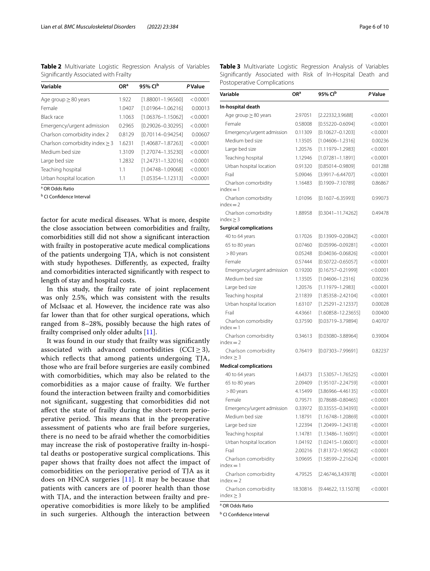<span id="page-5-0"></span>**Table 2** Multivariate Logistic Regression Analysis of Variables Signifcantly Associated with Frailty

| Variable                            | OR <sup>a</sup> | 95% Cl <sup>b</sup>   | <b>P</b> Value |
|-------------------------------------|-----------------|-----------------------|----------------|
| Age group $\geq$ 80 years           | 1.922           | $[1.88001 - 1.96560]$ | < 0.0001       |
| Female                              | 1.0407          | $[1.01964 - 1.06216]$ | 0.00013        |
| Black race                          | 1.1063          | $[1.06376 - 1.15062]$ | < 0.0001       |
| Emergency/urgent admission          | 0.2965          | $[0.29026 - 0.30295]$ | < 0.0001       |
| Charlson comorbidity index 2        | 0.8129          | $[0.70114 - 0.94254]$ | 0.00607        |
| Charlson comorbidity index $\geq$ 3 | 1.6231          | [1.40687-1.87263]     | < 0.0001       |
| Medium bed size                     | 1.3109          | [1.27074-1.35230]     | < 0.0001       |
| Large bed size                      | 1.2832          | $[1.24731 - 1.32016]$ | < 0.0001       |
| Teaching hospital                   | 1.1             | $[1.04748 - 1.09068]$ | < 0.0001       |
| Urban hospital location             | 1.1             | $[1.05354 - 1.12313]$ | < 0.0001       |

a OR Odds Ratio

<sup>b</sup> CI Confidence Interval

factor for acute medical diseases. What is more, despite the close association between comorbidities and frailty, comorbidities still did not show a signifcant interaction with frailty in postoperative acute medical complications of the patients undergoing TJA, which is not consistent with study hypotheses. Diferently, as expected, frailty and comorbidities interacted signifcantly with respect to length of stay and hospital costs.

In this study, the frailty rate of joint replacement was only 2.5%, which was consistent with the results of McIsaac et al. However, the incidence rate was also far lower than that for other surgical operations, which ranged from 8–28%, possibly because the high rates of frailty comprised only older adults [\[11](#page-8-4)].

It was found in our study that frailty was signifcantly associated with advanced comorbidities (CCI $\geq$ 3), which refects that among patients undergoing TJA, those who are frail before surgeries are easily combined with comorbidities, which may also be related to the comorbidities as a major cause of frailty. We further found the interaction between frailty and comorbidities not signifcant, suggesting that comorbidities did not afect the state of frailty during the short-term perioperative period. This means that in the preoperative assessment of patients who are frail before surgeries, there is no need to be afraid whether the comorbidities may increase the risk of postoperative frailty in-hospital deaths or postoperative surgical complications. This paper shows that frailty does not afect the impact of comorbidities on the perioperative period of TJA as it does on HNCA surgeries [[11\]](#page-8-4). It may be because that patients with cancers are of poorer health than those with TJA, and the interaction between frailty and preoperative comorbidities is more likely to be amplifed in such surgeries. Although the interaction between <span id="page-5-1"></span>**Table 3** Multivariate Logistic Regression Analysis of Variables Signifcantly Associated with Risk of In-Hospital Death and Postoperative Complications

| Variable                               | ORª      | 95% Cl <sup>b</sup>    | P Value  |
|----------------------------------------|----------|------------------------|----------|
| In-hospital death                      |          |                        |          |
| Age group $\geq$ 80 years              | 2.97051  | [2.22332,3.9688]       | < 0.0001 |
| Female                                 | 0.58008  | $[0.55220 - 0.6094]$   | < 0.0001 |
| Emergency/urgent admission             | 0.11309  | $[0.10627 - 0.1203]$   | < 0.0001 |
| Medium bed size                        | 1.13505  | $[1.04606 - 1.2316]$   | 0.00236  |
| Large bed size                         | 1.20576  | $[1.11979 - 1.2983]$   | < 0.0001 |
| Teaching hospital                      | 1.12946  | $[1.07281 - 1.1891]$   | < 0.0001 |
| Urban hospital location                | 0.91320  | $[0.85014 - 0.9809]$   | 0.01288  |
| Frail                                  | 5.09046  | $[3.9917 - 6.44707]$   | < 0.0001 |
| Charlson comorbidity<br>$index = 1$    | 1.16483  | $[0.1909 - 7.10789]$   | 0.86867  |
| Charlson comorbidity<br>$index = 2$    | 1.01096  | $[0.1607 - 6.35993]$   | 0.99073  |
| Charlson comorbidity<br>index $\geq$ 3 | 1.88958  | $[0.3041 - 11.74262]$  | 0.49478  |
| <b>Surgical complications</b>          |          |                        |          |
| 40 to 64 years                         | 0.17026  | $[0.13909 - 0.20842]$  | < 0.0001 |
| 65 to 80 years                         | 0.07460  | [0.05996-0.09281]      | < 0.0001 |
| $>80$ years                            | 0.05248  | [0.04036-0.06826]      | < 0.0001 |
| Female                                 | 0.57444  | $[0.50722 - 0.65057]$  | < 0.0001 |
| Emergency/urgent admission             | 0.19200  | $[0.16757 - 0.21999]$  | < 0.0001 |
| Medium bed size                        | 1.13505  | $[1.04606 - 1.2316]$   | 0.00236  |
| Large bed size                         | 1.20576  | $[1.11979 - 1.2983]$   | < 0.0001 |
| Teaching hospital                      | 2.11839  | $[1.85358 - 2.42104]$  | < 0.0001 |
| Urban hospital location                | 1.63107  | $[1.25291 - 2.12337]$  | 0.00028  |
| Frail                                  | 4.43661  | $[1.60858 - 12.23655]$ | 0.00400  |
| Charlson comorbidity<br>$index = 1$    | 0.37590  | $[0.03719 - 3.79894]$  | 0.40707  |
| Charlson comorbidity<br>$index = 2$    | 0.34613  | $[0.03080 - 3.88964]$  | 0.39004  |
| Charlson comorbidity<br>index $\geq$ 3 | 0.76419  | $[0.07303 - 7.99691]$  | 0.82237  |
| <b>Medical complications</b>           |          |                        |          |
| 40 to 64 years                         | 1.64373  | $[1.53057 - 1.76525]$  | < 0.0001 |
| 65 to 80 years                         | 2.09409  | $[1.95107 - 2.24759]$  | < 0.0001 |
| $>80$ years                            | 4.15499  | $[3.86966 - 4.46135]$  | < 0.0001 |
| Female                                 | 0.79571  | $[0.78688 - 0.80465]$  | < 0.0001 |
| Emergency/urgent admission             | 0.33972  | $[0.33555 - 0.34393]$  | < 0.0001 |
| Medium bed size                        | 1.18791  | $[1.16748 - 1.20869]$  | < 0.0001 |
| Large bed size                         | 1.22394  | $[1.20499 - 1.24318]$  | < 0.0001 |
| Teaching hospital                      | 1.14781  | $[1.13486 - 1.16091]$  | < 0.0001 |
| Urban hospital location                | 1.04192  | $[1.02415 - 1.06001]$  | < 0.0001 |
| Frail                                  | 2.00216  | $[1.81372 - 1.90562]$  | < 0.0001 |
| Charlson comorbidity<br>$index = 1$    | 3.09695  | $[1.58599 - 2.21624]$  | < 0.0001 |
| Charlson comorbidity<br>$index = 2$    | 4.79525  | [2.46746,3.43978]      | < 0.0001 |
| Charlson comorbidity<br>$index \geq 3$ | 18.30816 | [9.44622, 13.15078]    | < 0.0001 |

a OR Odds Ratio

**b** CI Confidence Interval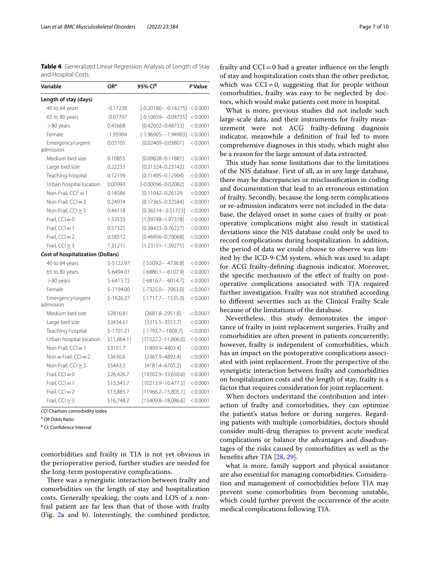<span id="page-6-0"></span>**Table 4** Generalized Linear Regression Analysis of Length of Stay and Hospital Costs

| Variable                                 | OR <sup>a</sup> | 95% Clb                 | P Value  |
|------------------------------------------|-----------------|-------------------------|----------|
| Length of stay (days)                    |                 |                         |          |
| 40 to 64 years                           | $-0.17228$      | $[-0.20180 - -0.14275]$ | < 0.0001 |
| 65 to 80 years                           | $-0.07707$      | $[-0.10659 - -0.04755]$ | < 0.0001 |
| $>80$ years                              | 0.45668         | $[0.42602 - 0.48733]$   | < 0.0001 |
| Female                                   | $-1.95904$      | $[-1.96905 - -1.94903]$ | < 0.0001 |
| Emergency/urgent<br>admission            | 0.03105         | $[0.02409 - 0.03801]$   | < 0.0001 |
| Medium bed size                          | 0.10855         | $[0.09828 - 0.11881]$   | < 0.0001 |
| Large bed size                           | 0.22233         | $[0.21324 - 0.23142]$   | < 0.0001 |
| Teaching hospital                        | 0.12199         | $[0.11495 - 0.12904]$   | < 0.0001 |
| Urban hospital location                  | 0.00993         | [-0.00096-0.02082]      | < 0.0001 |
| Non-Frail, $CCIc = 1$                    | 0.18586         | [0.11042-0.26129]       | < 0.0001 |
| Non-Frail, $CCI = 2$                     | 0.24974         | $[0.17365 - 0.32584]$   | < 0.0001 |
| Non-Frail, $CCI \geq 3$                  | 0.44118         | $[0.36514 - 0.51723]$   | < 0.0001 |
| Frail, $CCI = 0$                         | 1.53533         | $[1.09748 - 1.97318]$   | < 0.0001 |
| Frail, $CCI = 1$                         | 0.57325         | $[0.38423 - 0.76227]$   | < 0.0001 |
| Frail, $CCI = 2$                         | 0.58512         | $[0.46956 - 0.70068]$   | < 0.0001 |
| Frail, $CCI \geq 3$                      | 1.31211         | $[1.23151 - 1.39271]$   | < 0.0001 |
| <b>Cost of hospitalization (Dollars)</b> |                 |                         |          |
| 40 to 64 years                           | \$-5122.97      | $[-5509.2 - -4736.8]$   | < 0.0001 |
| 65 to 80 years                           | \$-6494.01      | $[-6880.1 - -6107.9]$   | < 0.0001 |
| >80 years                                | $$-6415.72$     | $[-6816.7 - -6014.7]$   | < 0.0001 |
| Female                                   | \$-7194.00      | $[-7325.0 - -7063.0]$   | < 0.0001 |
| Emergency/urgent<br>admission            | $$-1626.37$     | $[-1717.7 - -1535.0]$   | < 0.0001 |
| Medium bed size                          | \$2816.81       | $[2681.8 - 2951.8]$     | < 0.0001 |
| Large bed size                           | \$3434.61       | $[3315.5 - 3553.7]$     | < 0.0001 |
| Teaching hospital                        | $$-1701.21$     | $[-1793.7 - 1608.7]$    | < 0.0001 |
| Urban hospital location                  | \$11,664.11     | $[11522.2 - 11,806.0]$  | < 0.0001 |
| Non-Frail, $CCI = 1$                     | \$3151.7        | $[1899.9 - 4403.4]$     | < 0.0001 |
| $Non = Frail, CCI = 2$                   | \$3630.6        | $[2367.9 - 4893.4]$     | < 0.0001 |
| Non-Frail, $CCI \geq 3$                  | \$5443.3        | $[4181.4 - 6705.2]$     | < 0.0001 |
| Frail, $CCI = 0$                         | \$26,426.7      | $[19202.9 - 33,650.6]$  | < 0.0001 |
| Frail, $CCI = 1$                         | \$13,345.7      | $[10213.9 - 16,477.5]$  | < 0.0001 |
| Frail, $CCI = 2$                         | \$13,885.7      | $[11966.2 - 15,805.1]$  | < 0.0001 |
| Frail, $CCI \geq 3$                      | \$16,748.2      | $[15409.8 - 18,086.6]$  | < 0.0001 |

*CCI* Charlson comorbidity index

<sup>a</sup> *OR* Odds Ratio

<sup>b</sup> CI: Confidence Interval

comorbidities and frailty in TJA is not yet obvious in the perioperative period, further studies are needed for the long-term postoperative complications.

There was a synergistic interaction between frailty and comorbidities on the length of stay and hospitalization costs. Generally speaking, the costs and LOS of a nonfrail patient are far less than that of those with frailty (Fig. [2](#page-7-0)a and b). Interestingly, the combined predictor, frailty and  $CCI=0$  had a greater influence on the length of stay and hospitalization costs than the other predictor, which was  $\text{CCI} \neq 0$ , suggesting that for people without comorbidities, frailty was easy to be neglected by doctors, which would make patients cost more in hospital.

What is more, previous studies did not include such large-scale data, and their instruments for frailty measurement were not ACG frailty-defning diagnosis indicator, meanwhile a defnition of frail led to more comprehensive diagnoses in this study, which might also be a reason for the large amount of data extracted.

This study has some limitations due to the limitations of the NIS database. First of all, as in any large database, there may be discrepancies or misclassifcation in coding and documentation that lead to an erroneous estimation of frailty. Secondly, because the long-term complications or re-admission indicators were not included in the database, the delayed onset in some cases of frailty or postoperative complications might also result in statistical deviations since the NIS database could only be used to record complications during hospitalization. In addition, the period of data we could choose to observe was limited by the ICD-9-CM system, which was used to adapt for ACG frailty-defning diagnosis indicator. Moreover, the specifc mechanism of the efect of frailty on postoperative complications associated with TJA required further investigation. Frailty was not stratifed according to diferent severities such as the Clinical Frailty Scale because of the limitations of the database.

Nevertheless, this study demonstrates the importance of frailty in joint replacement surgeries. Frailty and comorbidities are often present in patients concurrently; however, frailty is independent of comorbidities, which has an impact on the postoperative complications associated with joint replacement. From the perspective of the synergistic interaction between frailty and comorbidities on hospitalization costs and the length of stay, frailty is a factor that requires consideration for joint replacement.

When doctors understand the contribution and interaction of frailty and comorbidities, they can optimize the patient's status before or during surgeres. Regarding patients with multiple comorbidities, doctors should consider multi-drug therapies to prevent acute medical complications or balance the advantages and disadvantages of the risks caused by comorbidities as well as the benefts after TJA [[28,](#page-9-10) [29\]](#page-9-11).

what is more, family support and physical assistance are also essential for managing comorbidities. Consideration and management of comorbidities before TJA may prevent some comorbidities from becoming unstable, which could further prevent the occurrence of the acute medical complications following TJA.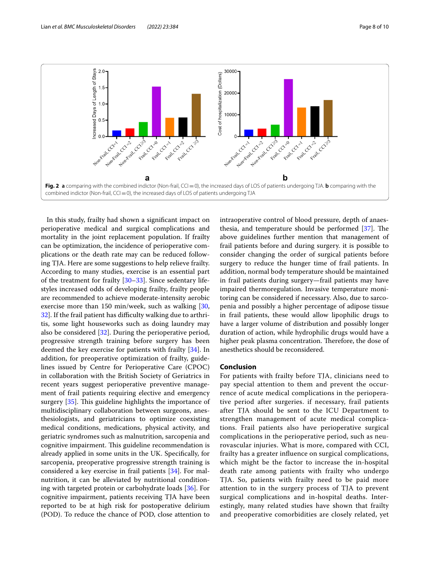

<span id="page-7-0"></span>In this study, frailty had shown a signifcant impact on perioperative medical and surgical complications and mortality in the joint replacement population. If frailty can be optimization, the incidence of perioperative complications or the death rate may can be reduced following TJA. Here are some suggestions to help relieve frailty. According to many studies, exercise is an essential part of the treatment for frailty [[30](#page-9-12)[–33](#page-9-13)]. Since sedentary lifestyles increased odds of developing frailty, frailty people are recommended to achieve moderate-intensity aerobic exercise more than 150 min/week, such as walking [\[30](#page-9-12), [32\]](#page-9-14). If the frail patient has difficulty walking due to arthritis, some light houseworks such as doing laundry may also be considered [[32](#page-9-14)]. During the perioperative period, progressive strength training before surgery has been deemed the key exercise for patients with frailty [\[34](#page-9-15)]. In addition, for preoperative optimization of frailty, guidelines issued by Centre for Perioperative Care (CPOC) in collaboration with the British Society of Geriatrics in recent years suggest perioperative preventive management of frail patients requiring elective and emergency surgery  $[35]$  $[35]$ . This guideline highlights the importance of multidisciplinary collaboration between surgeons, anesthesiologists, and geriatricians to optimize coexisting medical conditions, medications, physical activity, and geriatric syndromes such as malnutrition, sarcopenia and cognitive impairment. This guideline recommendation is already applied in some units in the UK. Specifcally, for sarcopenia, preoperative progressive strength training is considered a key exercise in frail patients [\[34\]](#page-9-15). For malnutrition, it can be alleviated by nutritional conditioning with targeted protein or carbohydrate loads [[36\]](#page-9-17). For cognitive impairment, patients receiving TJA have been reported to be at high risk for postoperative delirium (POD). To reduce the chance of POD, close attention to intraoperative control of blood pressure, depth of anaesthesia, and temperature should be performed  $[37]$ . The above guidelines further mention that management of frail patients before and during surgery. it is possible to consider changing the order of surgical patients before surgery to reduce the hunger time of frail patients. In addition, normal body temperature should be maintained in frail patients during surgery—frail patients may have impaired thermoregulation. Invasive temperature monitoring can be considered if necessary. Also, due to sarcopenia and possibly a higher percentage of adipose tissue in frail patients, these would allow lipophilic drugs to have a larger volume of distribution and possibly longer duration of action, while hydrophilic drugs would have a higher peak plasma concentration. Therefore, the dose of anesthetics should be reconsidered.

#### **Conclusion**

For patients with frailty before TJA, clinicians need to pay special attention to them and prevent the occurrence of acute medical complications in the perioperative period after surgeries. if necessary, frail patients after TJA should be sent to the ICU Department to strengthen management of acute medical complications. Frail patients also have perioperative surgical complications in the perioperative period, such as neurovascular injuries. What is more, compared with CCI, frailty has a greater infuence on surgical complications, which might be the factor to increase the in-hospital death rate among patients with frailty who undergo TJA. So, patients with frailty need to be paid more attention to in the surgery process of TJA to prevent surgical complications and in-hospital deaths. Interestingly, many related studies have shown that frailty and preoperative comorbidities are closely related, yet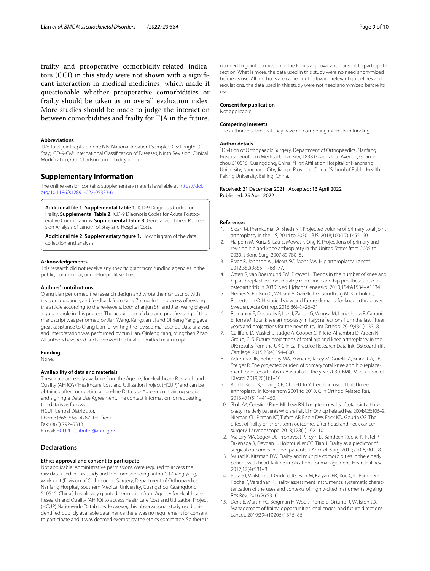frailty and preoperative comorbidity-related indicators (CCI) in this study were not shown with a signifcant interaction in medical medicines, which made it questionable whether preoperative comorbidities or frailty should be taken as an overall evaluation index. More studies should be made to judge the interaction between comorbidities and frailty for TJA in the future.

#### **Abbreviations**

TJA: Total joint replacement; NIS: National Inpatient Sample; LOS: Length Of Stay; ICD-9-CM: International Classifcation of Diseases, Ninth Revision, Clinical Modifcation; CCI: Charlson comorbidity index.

## **Supplementary Information**

The online version contains supplementary material available at [https://doi.](https://doi.org/10.1186/s12891-022-05333-6) [org/10.1186/s12891-022-05333-6](https://doi.org/10.1186/s12891-022-05333-6).

<span id="page-8-8"></span>**Additional fle 1: Supplemental Table 1.** ICD-9 Diagnosis Codes for Frailty. **Supplemental Table 2.** ICD-9 Diagnosis Codes for Acute Postoperative Complications. **Supplemental Table 3.** Generalized Linear Regression Analysis of Length of Stay and Hospital Costs.

<span id="page-8-9"></span>**Additional fle 2: Supplementary fgure 1.** Flow diagram of the data collection and analysis.

#### **Acknowledgements**

This research did not receive any specifc grant from funding agencies in the public, commercial, or not-for-proft sectors.

#### **Authors' contributions**

Qiang Lian performed the research design and wrote the manuscript with revision, guidance, and feedback from Yang Zhang. In the process of revising the article according to the reviewers, both Zhanjun Shi and Jian Wang played a guiding role in this process. The acquisition of data and proofreading of this manuscript was performed by Jian Wang. Kangxian Li and Qinfeng Yang gave great assistance to Qiang Lian for writing the revised manuscript. Data analysis and interpretation was performed by Yun Lian, Qinfeng Yang, Mingchen Zhao. All authors have read and approved the fnal submitted manuscript.

#### **Funding**

None.

#### **Availability of data and materials**

These data are easily available from the Agency for Healthcare Research and Quality (AHRQ's) "Healthcare Cost and Utilization Project (HCUP)" and can be obtained after completing an on-line Data Use Agreement training session and signing a Data Use Agreement. The contact information for requesting the data is as follows: HCUP Central Distributor. Phone: (866) 556–4287 (toll-free). Fax: (866) 792–5313. E-mail: [HCUPDistributor@ahrq.gov.](HCUPDistributor@ahrq.gov)

#### **Declarations**

#### **Ethics approval and consent to participate**

Not applicable. Administrative permissions were required to access the raw data used in this study and the corresponding author's (Zhang yang) work unit (Division of Orthopaedic Surgery, Department of Orthopaedics, Nanfang Hospital, Southern Medical University, Guangzhou, Guangdong, 510515, China.) has already granted permission from Agency for Healthcare Research and Quality (AHRQ) to access Healthcare Cost and Utilization Project (HCUP) Nationwide Databases. However, this observational study used deidentifed publicly available data, hence there was no requirement for consent to participate and it was deemed exempt by the ethics committee. So there is before its use. All methods are carried out following relevant guidelines and regulations. the data used in this study were not need anonymized before its use.

#### **Consent for publication**

Not applicable.

#### **Competing interests**

The authors declare that they have no competing interests in funding.

#### **Author details**

<sup>1</sup> Division of Orthopaedic Surgery, Department of Orthopaedics, Nanfang Hospital, Southern Medical University, 1838 Guangzhou Avenue, Guangzhou 510515, Guangdong, China. <sup>2</sup> First Affiliation Hospital of Nanchang University, Nanchang City, Jiangxi Province, China. <sup>3</sup> School of Public Health, Peking University, Beijing, China.

#### Received: 21 December 2021 Accepted: 13 April 2022 Published: 25 April 2022

#### **References**

- <span id="page-8-0"></span>1. Sloan M, Premkumar A, Sheth NP. Projected volume of primary total joint arthroplasty in the US, 2014 to 2030. JBJS. 2018;100(17):1455–60.
- <span id="page-8-1"></span>2. Halpern M, Kurtz S, Lau E, Mowat F, Ong K. Projections of primary and revision hip and knee arthroplasty in the United States from 2005 to 2030. J Bone Surg. 2007;89:780–5.
- 3. Pivec R, Johnson AJ, Mears SC, Mont MA. Hip arthroplasty. Lancet. 2012;380(9855):1768–77.
- 4. Otten R, van Roermund PM, Picavet H. Trends in the number of knee and hip arthroplasties: considerably more knee and hip prostheses due to osteoarthritis in 2030. Ned Tijdschr Geneeskd. 2010;154:A1534–A1534.
- 5. Nemes S, Rolfson O, W-Dahl A, Garellick G, Sundberg M, Kärrholm J, Robertsson O. Historical view and future demand for knee arthroplasty in Sweden. Acta Orthop. 2015;86(4):426–31.
- 6. Romanini E, Decarolis F, Luzi I, Zanoli G, Venosa M, Laricchiuta P, Carrani E, Torre M. Total knee arthroplasty in Italy: refections from the last ffteen years and projections for the next thirty. Int Orthop. 2019;43(1):133–8.
- 7. Culliford D, Maskell J, Judge A, Cooper C, Prieto-Alhambra D, Arden N, Group, C. S. Future projections of total hip and knee arthroplasty in the UK: results from the UK Clinical Practice Research Datalink. Osteoarthritis Cartilage. 2015;23(4):594–600.
- 8. Ackerman IN, Bohensky MA, Zomer E, Tacey M, Gorelik A, Brand CA, De Steiger R. The projected burden of primary total knee and hip replacement for osteoarthritis in Australia to the year 2030. BMC Musculoskelet Disord. 2019;20(1):1–10.
- <span id="page-8-2"></span>9. Koh IJ, Kim TK, Chang CB, Cho HJ, In Y. Trends in use of total knee arthroplasty in Korea from 2001 to 2010. Clin Orthop Related Res. 2013;471(5):1441–50.
- <span id="page-8-3"></span>10. Shah AK, Celestin J, Parks ML, Levy RN. Long-term results of total joint arthroplasty in elderly patients who are frail. Clin Orthop Related Res. 2004;425:106–9.
- <span id="page-8-4"></span>11. Nieman CL, Pitman KT, Tufaro AP, Eisele DW, Frick KD, Gourin CG. The efect of frailty on short-term outcomes after head and neck cancer surgery. Laryngoscope. 2018;128(1):102–10.
- 12. Makary MA, Segev DL, Pronovost PJ, Syin D, Bandeen-Roche K, Patel P, Takenaga R, Devgan L, Holzmueller CG, Tian J. Frailty as a predictor of surgical outcomes in older patients. J Am Coll Surg. 2010;210(6):901–8.
- <span id="page-8-5"></span>13. Murad K, Kitzman DW. Frailty and multiple comorbidities in the elderly patient with heart failure: implications for management. Heart Fail Rev. 2012;17(4):581–8.
- <span id="page-8-6"></span>14. Buta BJ, Walston JD, Godino JG, Park M, Kalyani RR, Xue Q-L, Bandeen-Roche K, Varadhan R. Frailty assessment instruments: systematic characterization of the uses and contexts of highly-cited instruments. Ageing Res Rev. 2016;26:53–61.
- <span id="page-8-7"></span>15. Dent E, Martin FC, Bergman H, Woo J, Romero-Ortuno R, Walston JD. Management of frailty: opportunities, challenges, and future directions. Lancet. 2019;394(10206):1376–86.